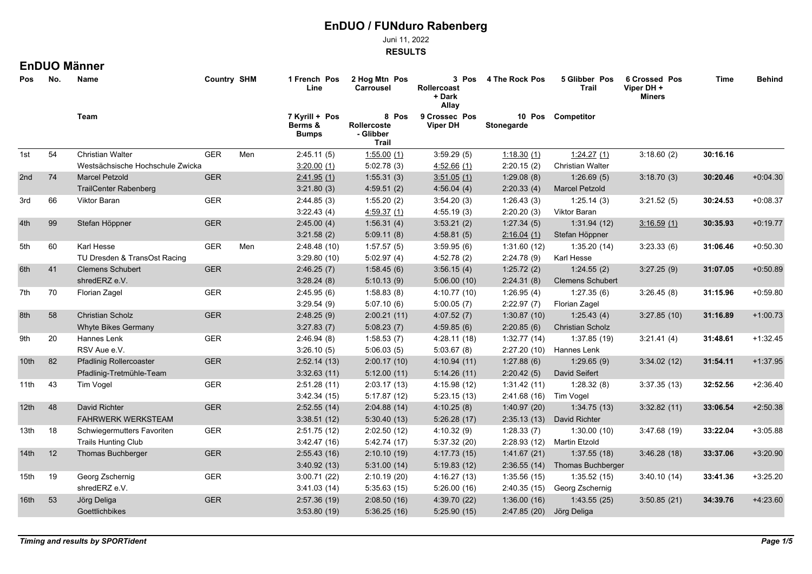Juni 11, 2022

**RESULTS**

## **EnDUO Männer**

| Pos              | No. | Name<br>Team                     |            |     | <b>Country SHM</b>                        |                                            | 1 French Pos<br>Line             | 2 Hog Mtn Pos<br><b>Carrousel</b> | 3 Pos<br>Rollercoast<br>+ Dark<br>Allay | 4 The Rock Pos | 5 Glibber Pos<br>Trail | <b>6 Crossed Pos</b><br>Viper DH +<br><b>Miners</b> | Time | <b>Behind</b> |
|------------------|-----|----------------------------------|------------|-----|-------------------------------------------|--------------------------------------------|----------------------------------|-----------------------------------|-----------------------------------------|----------------|------------------------|-----------------------------------------------------|------|---------------|
|                  |     |                                  |            |     | 7 Kyrill + Pos<br>Berms &<br><b>Bumps</b> | 8 Pos<br>Rollercoste<br>- Glibber<br>Trail | 9 Crossec Pos<br><b>Viper DH</b> | Stonegarde                        | 10 Pos Competitor                       |                |                        |                                                     |      |               |
| 1st              | 54  | <b>Christian Walter</b>          | <b>GER</b> | Men | 2:45.11(5)                                | 1:55.00(1)                                 | 3:59.29(5)                       | 1:18.30(1)                        | 1:24.27(1)                              | 3:18.60(2)     | 30:16.16               |                                                     |      |               |
|                  |     | Westsächsische Hochschule Zwicka |            |     | 3.20.00(1)                                | 5:02.78(3)                                 | 4.52.66(1)                       | 2:20.15(2)                        | <b>Christian Walter</b>                 |                |                        |                                                     |      |               |
| 2nd              | 74  | <b>Marcel Petzold</b>            | <b>GER</b> |     | 2.41.95(1)                                | 1:55.31(3)                                 | 3.51.05(1)                       | 1:29.08(8)                        | 1:26.69(5)                              | 3.18.70(3)     | 30:20.46               | $+0.04.30$                                          |      |               |
|                  |     | <b>TrailCenter Rabenberg</b>     |            |     | 3:21.80(3)                                | 4:59.51(2)                                 | 4:56.04(4)                       | 2:20.33(4)                        | <b>Marcel Petzold</b>                   |                |                        |                                                     |      |               |
| 3rd              | 66  | <b>Viktor Baran</b>              | <b>GER</b> |     | 2:44.85(3)                                | 1:55.20(2)                                 | 3:54.20(3)                       | 1:26.43(3)                        | 1:25.14(3)                              | 3:21.52(5)     | 30:24.53               | $+0.08.37$                                          |      |               |
|                  |     |                                  |            |     | 3:22.43(4)                                | 4.59.37(1)                                 | 4:55.19(3)                       | 2:20.20(3)                        | Viktor Baran                            |                |                        |                                                     |      |               |
| 4th              | 99  | Stefan Höppner                   | <b>GER</b> |     | 2:45.00(4)                                | 1:56.31(4)                                 | 3:53.21(2)                       | 1:27.34(5)                        | 1:31.94(12)                             | 3.16.59(1)     | 30:35.93               | $+0.19.77$                                          |      |               |
|                  |     |                                  |            |     | 3:21.58(2)                                | 5:09.11(8)                                 | 4:58.81(5)                       | 2:16.04(1)                        | Stefan Höppner                          |                |                        |                                                     |      |               |
| 5th              | 60  | Karl Hesse                       | <b>GER</b> | Men | 2:48.48(10)                               | 1.57.57(5)                                 | 3:59.95(6)                       | 1:31.60(12)                       | 1:35.20(14)                             | 3:23.33(6)     | 31:06.46               | $+0.50.30$                                          |      |               |
|                  |     | TU Dresden & TransOst Racing     |            |     | 3:29.80(10)                               | 5:02.97(4)                                 | 4:52.78(2)                       | 2:24.78(9)                        | Karl Hesse                              |                |                        |                                                     |      |               |
| 6th              | 41  | <b>Clemens Schubert</b>          | <b>GER</b> |     | 2:46.25(7)                                | 1:58.45(6)                                 | 3:56.15(4)                       | 1:25.72(2)                        | 1:24.55(2)                              | 3.27.25(9)     | 31:07.05               | $+0.50.89$                                          |      |               |
|                  |     | shredERZ e.V.                    |            |     | 3:28.24(8)                                | 5:10.13(9)                                 | 5:06.00(10)                      | 2:24.31(8)                        | <b>Clemens Schubert</b>                 |                |                        |                                                     |      |               |
| 7th              | 70  | Florian Zagel                    | <b>GER</b> |     | 2:45.95(6)                                | 1.58.83(8)                                 | 4:10.77 (10)                     | 1:26.95(4)                        | 1:27.35(6)                              | 3:26.45(8)     | 31:15.96               | $+0.59.80$                                          |      |               |
|                  |     |                                  |            |     | 3:29.54(9)                                | 5:07.10(6)                                 | 5:00.05(7)                       | 2:22.97(7)                        | Florian Zagel                           |                |                        |                                                     |      |               |
| 8th              | 58  | <b>Christian Scholz</b>          | <b>GER</b> |     | 2:48.25(9)                                | 2:00.21(11)                                | 4.07.52(7)                       | 1:30.87(10)                       | 1:25.43(4)                              | 3:27.85(10)    | 31:16.89               | $+1:00.73$                                          |      |               |
|                  |     | <b>Whyte Bikes Germany</b>       |            |     | 3:27.83(7)                                | 5:08.23(7)                                 | 4:59.85(6)                       | 2:20.85(6)                        | <b>Christian Scholz</b>                 |                |                        |                                                     |      |               |
| 9th              | 20  | Hannes Lenk                      | <b>GER</b> |     | 2:46.94(8)                                | 1:58.53(7)                                 | 4:28.11 (18)                     | 1:32.77(14)                       | 1:37.85(19)                             | 3:21.41(4)     | 31:48.61               | $+1:32.45$                                          |      |               |
|                  |     | RSV Aue e.V.                     |            |     | 3:26.10(5)                                | 5:06.03(5)                                 | 5:03.67(8)                       |                                   | 2:27.20 (10) Hannes Lenk                |                |                        |                                                     |      |               |
| 10th             | 82  | <b>Pfadlinig Rollercoaster</b>   | <b>GER</b> |     | 2:52.14(13)                               | 2:00.17(10)                                | 4:10.94(11)                      | 1:27.88(6)                        | 1:29.65(9)                              | 3.34.02(12)    | 31:54.11               | $+1:37.95$                                          |      |               |
|                  |     | Pfadlinig-Tretmühle-Team         |            |     | 3:32.63(11)                               | 5:12.00(11)                                | 5:14.26(11)                      | 2:20.42(5)                        | David Seifert                           |                |                        |                                                     |      |               |
| 11th             | 43  | Tim Vogel                        | GER        |     | 2:51.28(11)                               | 2:03.17(13)                                | 4:15.98(12)                      | 1:31.42(11)                       | 1:28.32(8)                              | 3:37.35(13)    | 32:52.56               | $+2.36.40$                                          |      |               |
|                  |     |                                  |            |     | 3.42.34(15)                               | 5:17.87(12)                                | 5:23.15(13)                      | 2:41.68 (16) Tim Vogel            |                                         |                |                        |                                                     |      |               |
| 12th             | 48  | David Richter                    | <b>GER</b> |     | 2:52.55(14)                               | 2:04.88(14)                                | 4:10.25(8)                       | 1:40.97(20)                       | 1:34.75(13)                             | 3:32.82(11)    | 33:06.54               | $+2:50.38$                                          |      |               |
|                  |     | <b>FAHRWERK WERKSTEAM</b>        |            |     | 3:38.51(12)                               | 5:30.40(13)                                | 5:26.28(17)                      |                                   | 2:35.13 (13) David Richter              |                |                        |                                                     |      |               |
| 13th             | 18  | Schwiegermutters Favoriten       | GER        |     | 2:51.75(12)                               | 2:02.50(12)                                | 4:10.32(9)                       | 1:28.33(7)                        | 1:30.00(10)                             | 3:47.68(19)    | 33:22.04               | $+3.05.88$                                          |      |               |
|                  |     | <b>Trails Hunting Club</b>       |            |     | 3.42.47(16)                               | 5:42.74(17)                                | 5:37.32 (20)                     |                                   | 2:28.93 (12) Martin Etzold              |                |                        |                                                     |      |               |
| 14 <sub>th</sub> | 12  | Thomas Buchberger                | <b>GER</b> |     | 2:55.43(16)                               | 2:10.10(19)                                | 4:17.73 (15)                     | 1.41.67(21)                       | 1:37.55(18)                             | 3.46.28(18)    | 33:37.06               | $+3:20.90$                                          |      |               |
|                  |     |                                  |            |     | 3:40.92(13)                               | 5:31.00(14)                                | 5:19.83(12)                      |                                   | 2:36.55 (14) Thomas Buchberger          |                |                        |                                                     |      |               |
| 15th             | 19  | Georg Zschernig                  | GER        |     | 3:00.71(22)                               | 2:10.19(20)                                | 4:16.27(13)                      | 1:35.56(15)                       | 1:35.52(15)                             | 3:40.10(14)    | 33:41.36               | $+3:25.20$                                          |      |               |
|                  |     | shredERZ e.V.                    |            |     | 3:41.03(14)                               | 5:35.63(15)                                | 5:26.00(16)                      |                                   | 2:40.35 (15) Georg Zschernig            |                |                        |                                                     |      |               |
| 16 <sup>th</sup> | 53  | Jörg Deliga                      | <b>GER</b> |     | 2:57.36(19)                               | 2:08.50(16)                                | 4:39.70 (22)                     | 1:36.00(16)                       | 1:43.55(25)                             | 3.50.85(21)    | 34:39.76               | $+4:23.60$                                          |      |               |
|                  |     | <b>Goettlichbikes</b>            |            |     | 3:53.80(19)                               | 5:36.25(16)                                | 5:25.90(15)                      | 2:47.85(20)                       | Jörg Deliga                             |                |                        |                                                     |      |               |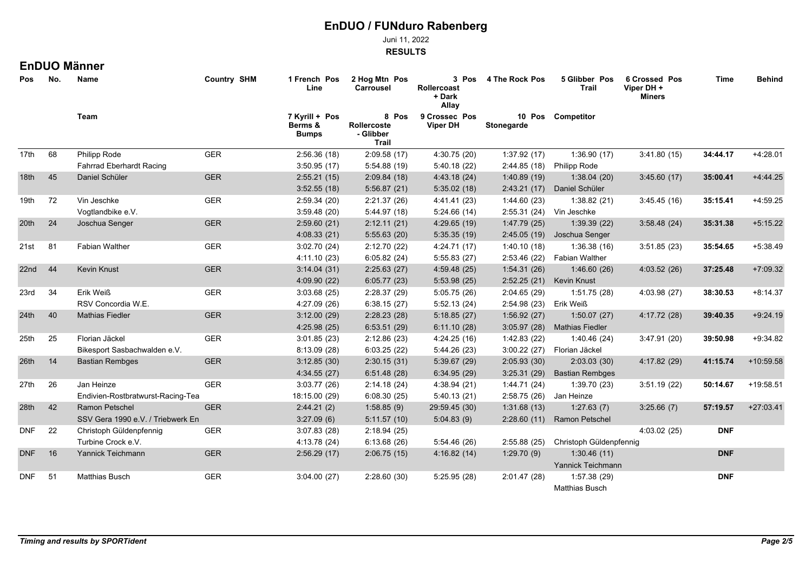Juni 11, 2022

**RESULTS**

## **EnDUO Männer**

| Pos        | No. | Name                              | <b>Country SHM</b> | 1 French Pos<br>Line                      | 2 Hog Mtn Pos<br>Carrousel                 | 3 Pos<br><b>Rollercoast</b><br>+ Dark<br>Allay | 4 The Rock Pos          | 5 Glibber Pos<br>Trail       | <b>6 Crossed Pos</b><br>Viper DH +<br><b>Miners</b> | Time       | <b>Behind</b> |
|------------|-----|-----------------------------------|--------------------|-------------------------------------------|--------------------------------------------|------------------------------------------------|-------------------------|------------------------------|-----------------------------------------------------|------------|---------------|
|            |     | Team                              |                    | 7 Kyrill + Pos<br>Berms &<br><b>Bumps</b> | 8 Pos<br>Rollercoste<br>- Glibber<br>Trail | 9 Crossec Pos<br><b>Viper DH</b>               | Stonegarde              | 10 Pos Competitor            |                                                     |            |               |
| 17th       | 68  | Philipp Rode                      | <b>GER</b>         | 2:56.36(18)                               | 2:09.58(17)                                | 4:30.75 (20)                                   | 1:37.92(17)             | 1:36.90(17)                  | 3:41.80(15)                                         | 34:44.17   | $+4:28.01$    |
|            |     | <b>Fahrrad Eberhardt Racing</b>   |                    | 3:50.95(17)                               | 5:54.88 (19)                               | 5:40.18 (22)                                   | 2:44.85 (18)            | <b>Philipp Rode</b>          |                                                     |            |               |
| 18th       | 45  | Daniel Schüler                    | <b>GER</b>         | 2:55.21(15)                               | 2:09.84(18)                                | 4:43.18 (24)                                   | 1:40.89(19)             | 1:38.04(20)                  | 3.45.60(17)                                         | 35:00.41   | $+4.44.25$    |
|            |     |                                   |                    | 3:52.55(18)                               | 5:56.87(21)                                | 5:35.02(18)                                    |                         | 2:43.21 (17) Daniel Schüler  |                                                     |            |               |
| 19th       | 72  | Vin Jeschke                       | GER                | 2:59.34(20)                               | 2:21.37(26)                                | 4:41.41 (23)                                   | 1:44.60(23)             | 1:38.82(21)                  | 3:45.45(16)                                         | 35:15.41   | $+4.59.25$    |
|            |     | Vogtlandbike e.V.                 |                    | 3:59.48(20)                               | 5:44.97 (18)                               | 5:24.66(14)                                    |                         | 2:55.31 (24) Vin Jeschke     |                                                     |            |               |
| 20th       | 24  | Joschua Senger                    | <b>GER</b>         | 2:59.60(21)                               | 2:12.11(21)                                | 4:29.65(19)                                    | 1.47.79(25)             | 1:39.39(22)                  | 3:58.48(24)                                         | 35:31.38   | $+5:15.22$    |
|            |     |                                   |                    | 4:08.33(21)                               | 5:55.63(20)                                | 5:35.35(19)                                    |                         | 2:45.05 (19) Joschua Senger  |                                                     |            |               |
| 21st       | 81  | <b>Fabian Walther</b>             | <b>GER</b>         | 3:02.70(24)                               | 2:12.70(22)                                | 4:24.71 (17)                                   | 1:40.10(18)             | 1:36.38(16)                  | 3:51.85(23)                                         | 35:54.65   | $+5.38.49$    |
|            |     |                                   |                    | 4:11.10(23)                               | 6:05.82(24)                                | 5:55.83(27)                                    |                         | 2:53.46 (22) Fabian Walther  |                                                     |            |               |
| 22nd       | 44  | Kevin Knust                       | <b>GER</b>         | 3:14.04(31)                               | 2:25.63(27)                                | 4:59.48(25)                                    | 1:54.31(26)             | 1.46.60(26)                  | 4:03.52(26)                                         | 37:25.48   | $+7:09.32$    |
|            |     |                                   |                    | 4.09.90(22)                               | 6:05.77(23)                                | 5:53.98(25)                                    |                         | 2:52.25 (21) Kevin Knust     |                                                     |            |               |
| 23rd       | 34  | Erik Weiß                         | <b>GER</b>         | 3:03.68(25)                               | 2:28.37 (29)                               | 5:05.75 (26)                                   | 2:04.65(29)             | 1:51.75(28)                  | 4:03.98 (27)                                        | 38:30.53   | $+8:14.37$    |
|            |     | RSV Concordia W.E.                |                    | 4:27.09 (26)                              | 6:38.15(27)                                | 5:52.13(24)                                    | 2:54.98 (23) Erik Weiß  |                              |                                                     |            |               |
| 24th       | 40  | <b>Mathias Fiedler</b>            | <b>GER</b>         | 3:12.00(29)                               | 2:28.23(28)                                | 5:18.85(27)                                    | 1:56.92(27)             | 1:50.07(27)                  | 4:17.72 (28)                                        | 39:40.35   | $+9.24.19$    |
|            |     |                                   |                    | 4:25.98(25)                               | 6:53.51(29)                                | 6:11.10(28)                                    |                         | 3:05.97 (28) Mathias Fiedler |                                                     |            |               |
| 25th       | 25  | Florian Jäckel                    | <b>GER</b>         | 3:01.85(23)                               | 2:12.86(23)                                | 4:24.25(16)                                    | 1:42.83(22)             | 1:40.46(24)                  | 3:47.91(20)                                         | 39:50.98   | $+9.34.82$    |
|            |     | Bikesport Sasbachwalden e.V.      |                    | 8:13.09(28)                               | 6:03.25(22)                                | 5:44.26(23)                                    |                         | 3:00.22 (27) Florian Jäckel  |                                                     |            |               |
| 26th       | 14  | <b>Bastian Rembges</b>            | <b>GER</b>         | 3:12.85(30)                               | 2:30.15(31)                                | 5:39.67(29)                                    | 2:05.93(30)             | 2:03.03(30)                  | 4:17.82 (29)                                        | 41:15.74   | +10:59.58     |
|            |     |                                   |                    | 4:34.55(27)                               | 6:51.48(28)                                | 6:34.95(29)                                    | 3:25.31(29)             | <b>Bastian Rembges</b>       |                                                     |            |               |
| 27th       | 26  | Jan Heinze                        | <b>GER</b>         | 3:03.77(26)                               | 2:14.18(24)                                | 4:38.94 (21)                                   | 1:44.71 (24)            | 1:39.70(23)                  | 3.51.19(22)                                         | 50:14.67   | +19:58.51     |
|            |     | Endivien-Rostbratwurst-Racing-Tea |                    | 18:15.00 (29)                             | 6:08.30(25)                                | 5:40.13(21)                                    | 2:58.75 (26) Jan Heinze |                              |                                                     |            |               |
| 28th       | 42  | <b>Ramon Petschel</b>             | <b>GER</b>         | 2:44.21(2)                                | 1:58.85(9)                                 | 29:59.45 (30)                                  | 1:31.68(13)             | 1:27.63(7)                   | 3:25.66(7)                                          | 57:19.57   | $+27:03.41$   |
|            |     | SSV Gera 1990 e.V. / Triebwerk En |                    | 3:27.09(6)                                | 5:11.57(10)                                | 5:04.83(9)                                     | 2:28.60(11)             | <b>Ramon Petschel</b>        |                                                     |            |               |
| <b>DNF</b> | 22  | Christoph Güldenpfennig           | <b>GER</b>         | 3.07.83(28)                               | 2:18.94(25)                                |                                                |                         |                              | 4:03.02(25)                                         | <b>DNF</b> |               |
|            |     | Turbine Crock e.V.                |                    | 4:13.78 (24)                              | 6:13.68(26)                                | 5:54.46(26)                                    | 2:55.88(25)             | Christoph Güldenpfennig      |                                                     |            |               |
| <b>DNF</b> | 16  | Yannick Teichmann                 | <b>GER</b>         | 2:56.29(17)                               | 2:06.75(15)                                | 4:16.82(14)                                    | 1:29.70(9)              | 1:30.46(11)                  |                                                     | <b>DNF</b> |               |
|            |     |                                   |                    |                                           |                                            |                                                |                         | Yannick Teichmann            |                                                     |            |               |
| <b>DNF</b> | 51  | Matthias Busch                    | <b>GER</b>         | 3:04.00(27)                               | 2:28.60(30)                                | 5:25.95 (28)                                   | 2:01.47(28)             | 1:57.38 (29)                 |                                                     | <b>DNF</b> |               |
|            |     |                                   |                    |                                           |                                            |                                                |                         | Matthias Busch               |                                                     |            |               |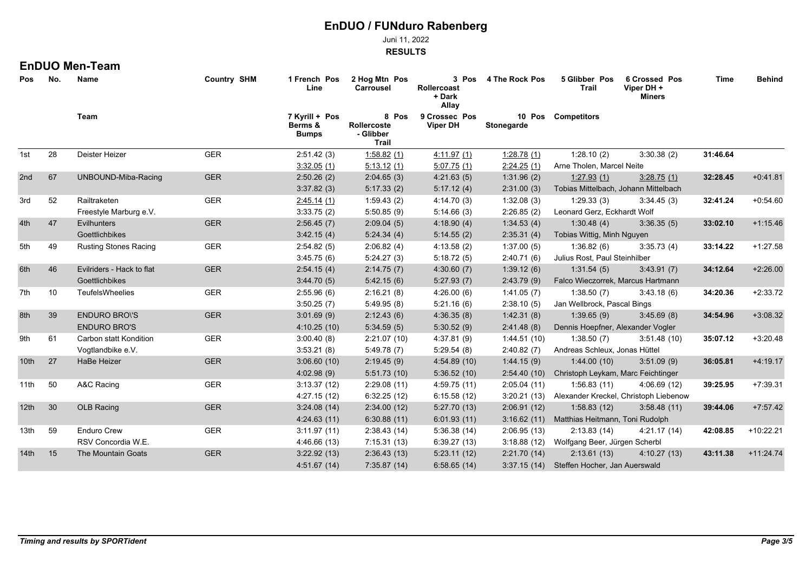Juni 11, 2022

**RESULTS**

#### **EnDUO Men-Team**

| Pos              | No. | Name                         | <b>Country SHM</b> | 1 French Pos<br>Line | 2 Hog Mtn Pos<br>Carrousel                | 3 Pos<br>Rollercoast<br>+ Dark<br>Allay    | 4 The Rock Pos                   | 5 Glibber Pos<br>Trail                       | <b>6 Crossed Pos</b><br>Viper DH +<br><b>Miners</b> | Time     | <b>Behind</b> |  |
|------------------|-----|------------------------------|--------------------|----------------------|-------------------------------------------|--------------------------------------------|----------------------------------|----------------------------------------------|-----------------------------------------------------|----------|---------------|--|
|                  |     | Team                         |                    |                      | 7 Kyrill + Pos<br>Berms &<br><b>Bumps</b> | 8 Pos<br>Rollercoste<br>- Glibber<br>Trail | 9 Crossec Pos<br><b>Viper DH</b> | Stonegarde                                   | 10 Pos Competitors                                  |          |               |  |
| 1st              | 28  | Deister Heizer               | <b>GER</b>         | 2:51.42(3)           | 1:58.82(1)                                | 4.11.97(1)                                 | 1:28.78(1)                       | 1:28.10(2)                                   | 3:30.38(2)                                          | 31:46.64 |               |  |
|                  |     |                              |                    | 3:32.05(1)           | 5.13.12(1)                                | 5:07.75(1)                                 | 2:24.25(1)                       | Arne Tholen, Marcel Neite                    |                                                     |          |               |  |
| 2nd              | 67  | UNBOUND-Miba-Racing          | <b>GER</b>         | 2:50.26(2)           | 2:04.65(3)                                | 4:21.63(5)                                 | 1:31.96(2)                       | 1.27.93(1)                                   | 3.28.75(1)                                          | 32:28.45 | $+0.41.81$    |  |
|                  |     |                              |                    | 3.37.82(3)           | 5:17.33(2)                                | 5:17.12(4)                                 | 2:31.00(3)                       | Tobias Mittelbach, Johann Mittelbach         |                                                     |          |               |  |
| 3rd              | 52  | Railtraketen                 | GER                | 2:45.14(1)           | 1:59.43(2)                                | 4:14.70(3)                                 | 1:32.08(3)                       | 1:29.33(3)                                   | 3:34.45(3)                                          | 32:41.24 | $+0.54.60$    |  |
|                  |     | Freestyle Marburg e.V.       |                    | 3:33.75(2)           | 5:50.85(9)                                | 5:14.66(3)                                 | 2:26.85(2)                       | Leonard Gerz, Eckhardt Wolf                  |                                                     |          |               |  |
| 4th              | 47  | Evilhunters                  | <b>GER</b>         | 2:56.45(7)           | 2:09.04(5)                                | 4:18.90(4)                                 | 1:34.53(4)                       | 1:30.48(4)                                   | 3:36.35(5)                                          | 33:02.10 | $+1:15.46$    |  |
|                  |     | Goettlichbikes               |                    | 3.42.15(4)           | 5:24.34(4)                                | 5:14.55(2)                                 | 2:35.31(4)                       | Tobias Wittig, Minh Nguyen                   |                                                     |          |               |  |
| 5th              | 49  | <b>Rusting Stones Racing</b> | <b>GER</b>         | 2:54.82(5)           | 2:06.82(4)                                | 4:13.58(2)                                 | 1:37.00(5)                       | 1:36.82(6)                                   | 3:35.73(4)                                          | 33:14.22 | $+1:27.58$    |  |
|                  |     |                              |                    | 3:45.75(6)           | 5:24.27(3)                                | 5:18.72(5)                                 | 2:40.71(6)                       | Julius Rost, Paul Steinhilber                |                                                     |          |               |  |
| 6th              | 46  | Evilriders - Hack to flat    | <b>GER</b>         | 2:54.15(4)           | 2:14.75(7)                                | 4:30.60(7)                                 | 1:39.12(6)                       | 1.31.54(5)                                   | 3.43.91(7)                                          | 34:12.64 | $+2:26.00$    |  |
|                  |     | Goettlichbikes               |                    | 3.44.70(5)           | 5.42.15(6)                                | 5:27.93(7)                                 | 2:43.79(9)                       | Falco Wieczorrek, Marcus Hartmann            |                                                     |          |               |  |
| 7th              | 10  | TeufelsWheelies              | GER                | 2:55.96(6)           | 2:16.21(8)                                | 4:26.00(6)                                 | 1:41.05(7)                       | 1:38.50(7)                                   | 3:43.18(6)                                          | 34:20.36 | $+2:33.72$    |  |
|                  |     |                              |                    | 3:50.25(7)           | 5:49.95(8)                                | 5:21.16(6)                                 | 2:38.10(5)                       |                                              | Jan Wellbrock, Pascal Bings                         |          |               |  |
| 8th              | 39  | <b>ENDURO BROYS</b>          | <b>GER</b>         | 3:01.69(9)           | 2:12.43(6)                                | 4:36.35(8)                                 | 1.42.31(8)                       | 1:39.65(9)                                   | 3.45.69(8)                                          | 34:54.96 | $+3:08.32$    |  |
|                  |     | <b>ENDURO BRO'S</b>          |                    | 4:10.25(10)          | 5:34.59(5)                                | 5:30.52(9)                                 | 2.41.48(8)                       | Dennis Hoepfner, Alexander Vogler            |                                                     |          |               |  |
| 9th              | 61  | Carbon statt Kondition       | GER                | 3:00.40(8)           | 2:21.07(10)                               | 4:37.81(9)                                 | 1:44.51(10)                      | 1:38.50(7)                                   | 3:51.48(10)                                         | 35:07.12 | $+3:20.48$    |  |
|                  |     | Vogtlandbike e.V.            |                    | 3:53.21(8)           | 5:49.78(7)                                | 5:29.54(8)                                 | 2:40.82(7)                       | Andreas Schleux, Jonas Hüttel                |                                                     |          |               |  |
| 10 <sub>th</sub> | 27  | HaBe Heizer                  | <b>GER</b>         | 3:06.60(10)          | 2:19.45(9)                                | 4:54.89(10)                                | 1.44.15(9)                       | 1:44.00(10)                                  | 3:51.09(9)                                          | 36:05.81 | $+4.19.17$    |  |
|                  |     |                              |                    | 4:02.98(9)           | 5:51.73(10)                               | 5:36.52(10)                                | 2:54.40(10)                      | Christoph Leykam, Marc Feichtinger           |                                                     |          |               |  |
| 11th             | 50  | A&C Racing                   | <b>GER</b>         | 3:13.37(12)          | 2:29.08(11)                               | 4:59.75(11)                                | 2:05.04(11)                      | 1:56.83(11)                                  | 4:06.69(12)                                         | 39:25.95 | $+7:39.31$    |  |
|                  |     |                              |                    | 4:27.15(12)          | 6:32.25(12)                               | 6:15.58(12)                                |                                  |                                              | 3:20.21 (13) Alexander Kreckel, Christoph Liebenow  |          |               |  |
| 12th             | 30  | <b>OLB Racing</b>            | <b>GER</b>         | 3:24.08(14)          | 2:34.00(12)                               | 5:27.70(13)                                | 2:06.91(12)                      | 1:58.83(12)                                  | 3:58.48(11)                                         | 39:44.06 | $+7.57.42$    |  |
|                  |     |                              |                    | 4:24.63(11)          | 6:30.88(11)                               | 6:01.93(11)                                |                                  | 3:16.62 (11) Matthias Heitmann, Toni Rudolph |                                                     |          |               |  |
| 13th             | 59  | Enduro Crew                  | <b>GER</b>         | 3.11.97(11)          | 2:38.43(14)                               | 5:36.38(14)                                | 2:06.95(13)                      | 2:13.83(14)                                  | 4:21.17 (14)                                        | 42:08.85 | $+10:22.21$   |  |
|                  |     | RSV Concordia W.E.           |                    | 4:46.66 (13)         | 7:15.31(13)                               | 6:39.27(13)                                |                                  | 3:18.88 (12) Wolfgang Beer, Jürgen Scherbl   |                                                     |          |               |  |
| 14 <sup>th</sup> | 15  | The Mountain Goats           | <b>GER</b>         | 3:22.92(13)          | 2:36.43(13)                               | 5:23.11(12)                                | 2:21.70(14)                      | 2:13.61(13)                                  | 4:10.27(13)                                         | 43:11.38 | $+11.24.74$   |  |
|                  |     |                              |                    | 4:51.67(14)          | 7:35.87 (14)                              | 6:58.65(14)                                |                                  | 3:37.15 (14) Steffen Hocher, Jan Auerswald   |                                                     |          |               |  |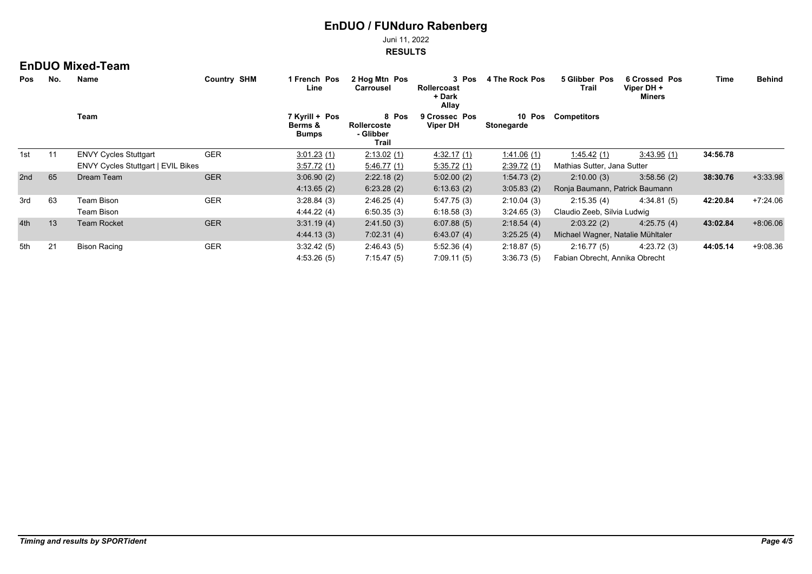Juni 11, 2022

**RESULTS**

### **EnDUO Mixed-Team**

| No.<br><b>Pos</b> |      | Name                               | <b>Country SHM</b>                        | 2 Hog Mtn Pos<br>1 French Pos<br>3 Pos<br>Rollercoast<br>Line<br><b>Carrousel</b><br>+ Dark<br>Allay | 4 The Rock Pos                   | 5 Glibber Pos<br>Trail | <b>6 Crossed Pos</b><br>Viper DH +<br><b>Miners</b> | Time                              | <b>Behind</b> |          |            |
|-------------------|------|------------------------------------|-------------------------------------------|------------------------------------------------------------------------------------------------------|----------------------------------|------------------------|-----------------------------------------------------|-----------------------------------|---------------|----------|------------|
|                   | Team |                                    | 7 Kyrill + Pos<br>Berms &<br><b>Bumps</b> | 8 Pos<br>Rollercoste<br>- Glibber<br>Trail                                                           | 9 Crossec Pos<br><b>Viper DH</b> | 10 Pos<br>Stonegarde   | <b>Competitors</b>                                  |                                   |               |          |            |
| 1st               | 11   | <b>ENVY Cycles Stuttgart</b>       | <b>GER</b>                                | 3:01.23(1)                                                                                           | 2.13.02(1)                       | 4.32.17(1)             | 1.41.06(1)                                          | 1.45.42(1)                        | 3:43.95(1)    | 34:56.78 |            |
|                   |      | ENVY Cycles Stuttgart   EVIL Bikes |                                           | 3:57.72(1)                                                                                           | 5:46.77(1)                       | 5:35.72(1)             | 2:39.72(1)                                          | Mathias Sutter, Jana Sutter       |               |          |            |
| 2nd               | 65   | Dream Team                         | <b>GER</b>                                | 3:06.90(2)                                                                                           | 2:22.18(2)                       | 5:02.00(2)             | 1:54.73(2)                                          | 2:10.00(3)                        | 3:58.56(2)    | 38:30.76 | $+3.33.98$ |
|                   |      |                                    |                                           | 4:13.65(2)                                                                                           | 6:23.28(2)                       | 6:13.63(2)             | 3:05.83(2)                                          | Ronja Baumann, Patrick Baumann    |               |          |            |
| 3rd               | 63   | Team Bison                         | <b>GER</b>                                | 3:28.84(3)                                                                                           | 2:46.25(4)                       | 5:47.75(3)             | 2:10.04(3)                                          | 2:15.35(4)                        | 4:34.81(5)    | 42:20.84 | $+7:24.06$ |
|                   |      | <b>Team Bison</b>                  |                                           | 4.44.22(4)                                                                                           | 6.50.35(3)                       | 6.18.58(3)             | 3:24.65(3)                                          | Claudio Zeeb, Silvia Ludwig       |               |          |            |
| 4th               | 13   | <b>Team Rocket</b>                 | <b>GER</b>                                | 3:31.19(4)                                                                                           | 2:41.50(3)                       | 6:07.88(5)             | 2:18.54(4)                                          | 2:03.22(2)                        | 4:25.75(4)    | 43:02.84 | $+8:06.06$ |
|                   |      |                                    |                                           | 4.44.13 (3)                                                                                          | 7.02.31(4)                       | 6.43.07(4)             | 3:25.25(4)                                          | Michael Wagner, Natalie Mühltaler |               |          |            |
| 5th               | 21   | Bison Racing                       | <b>GER</b>                                | 3.32.42(5)                                                                                           | 2:46.43(5)                       | 5.52.36(4)             | 2:18.87(5)                                          | 2:16.77(5)                        | 4.23.72(3)    | 44:05.14 | $+9:08.36$ |
|                   |      |                                    |                                           | 4:53.26(5)                                                                                           | 7:15.47(5)                       | 7:09.11(5)             | 3:36.73(5)                                          | Fabian Obrecht, Annika Obrecht    |               |          |            |